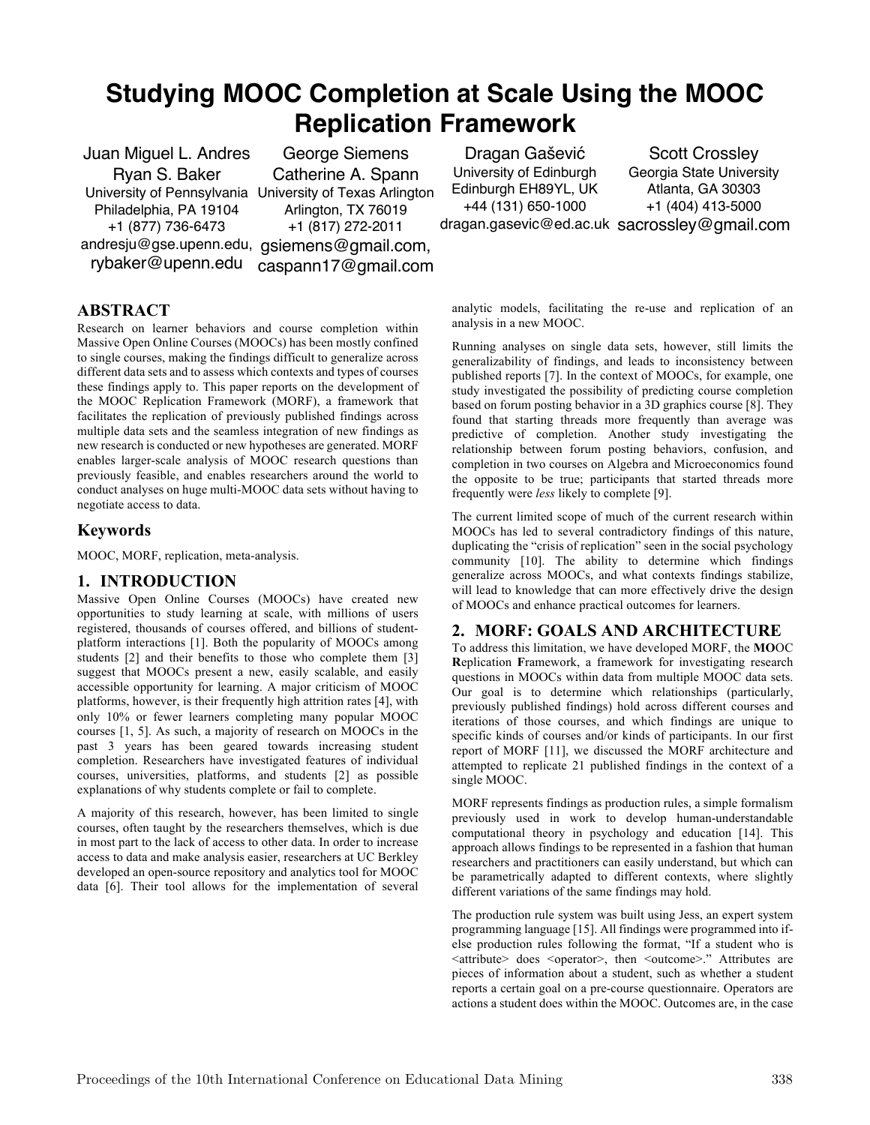# **Studying MOOC Completion at Scale Using the MOOC Replication Framework**

Juan Miguel L. Andres Ryan S. Baker University of Pennsylvania University of Texas Arlington Philadelphia, PA 19104 +1 (877) 736-6473 andresju@gse.upenn.edu, gsiemens@gmail.com,

rybaker@upenn.edu caspann17@gmail.com George Siemens Catherine A. Spann Arlington, TX 76019 +1 (817) 272-2011

Dragan Gašević University of Edinburgh Edinburgh EH89YL, UK +44 (131) 650-1000 dragan.gasevic@ed.ac.uk sacrossley@gmail.com

Scott Crossley Georgia State University Atlanta, GA 30303 +1 (404) 413-5000

# **ABSTRACT**

Research on learner behaviors and course completion within Massive Open Online Courses (MOOCs) has been mostly confined to single courses, making the findings difficult to generalize across different data sets and to assess which contexts and types of courses these findings apply to. This paper reports on the development of the MOOC Replication Framework (MORF), a framework that facilitates the replication of previously published findings across multiple data sets and the seamless integration of new findings as new research is conducted or new hypotheses are generated. MORF enables larger-scale analysis of MOOC research questions than previously feasible, and enables researchers around the world to conduct analyses on huge multi-MOOC data sets without having to negotiate access to data.

## **Keywords**

MOOC, MORF, replication, meta-analysis.

## **1. INTRODUCTION**

Massive Open Online Courses (MOOCs) have created new opportunities to study learning at scale, with millions of users registered, thousands of courses offered, and billions of studentplatform interactions [1]. Both the popularity of MOOCs among students [2] and their benefits to those who complete them [3] suggest that MOOCs present a new, easily scalable, and easily accessible opportunity for learning. A major criticism of MOOC platforms, however, is their frequently high attrition rates [4], with only 10% or fewer learners completing many popular MOOC courses [1, 5]. As such, a majority of research on MOOCs in the past 3 years has been geared towards increasing student completion. Researchers have investigated features of individual courses, universities, platforms, and students [2] as possible explanations of why students complete or fail to complete.

A majority of this research, however, has been limited to single courses, often taught by the researchers themselves, which is due in most part to the lack of access to other data. In order to increase access to data and make analysis easier, researchers at UC Berkley developed an open-source repository and analytics tool for MOOC data [6]. Their tool allows for the implementation of several

analytic models, facilitating the re-use and replication of an analysis in a new MOOC.

Running analyses on single data sets, however, still limits the generalizability of findings, and leads to inconsistency between published reports [7]. In the context of MOOCs, for example, one study investigated the possibility of predicting course completion based on forum posting behavior in a 3D graphics course [8]. They found that starting threads more frequently than average was predictive of completion. Another study investigating the relationship between forum posting behaviors, confusion, and completion in two courses on Algebra and Microeconomics found the opposite to be true; participants that started threads more frequently were *less* likely to complete [9].

The current limited scope of much of the current research within MOOCs has led to several contradictory findings of this nature, duplicating the "crisis of replication" seen in the social psychology community [10]. The ability to determine which findings generalize across MOOCs, and what contexts findings stabilize, will lead to knowledge that can more effectively drive the design of MOOCs and enhance practical outcomes for learners.

# **2. MORF: GOALS AND ARCHITECTURE**

To address this limitation, we have developed MORF, the **MO**OC **R**eplication **F**ramework, a framework for investigating research questions in MOOCs within data from multiple MOOC data sets. Our goal is to determine which relationships (particularly, previously published findings) hold across different courses and iterations of those courses, and which findings are unique to specific kinds of courses and/or kinds of participants. In our first report of MORF [11], we discussed the MORF architecture and attempted to replicate 21 published findings in the context of a single MOOC.

MORF represents findings as production rules, a simple formalism previously used in work to develop human-understandable computational theory in psychology and education [14]. This approach allows findings to be represented in a fashion that human researchers and practitioners can easily understand, but which can be parametrically adapted to different contexts, where slightly different variations of the same findings may hold.

The production rule system was built using Jess, an expert system programming language [15]. All findings were programmed into ifelse production rules following the format, "If a student who is <attribute> does <operator>, then <outcome>." Attributes are pieces of information about a student, such as whether a student reports a certain goal on a pre-course questionnaire. Operators are actions a student does within the MOOC. Outcomes are, in the case